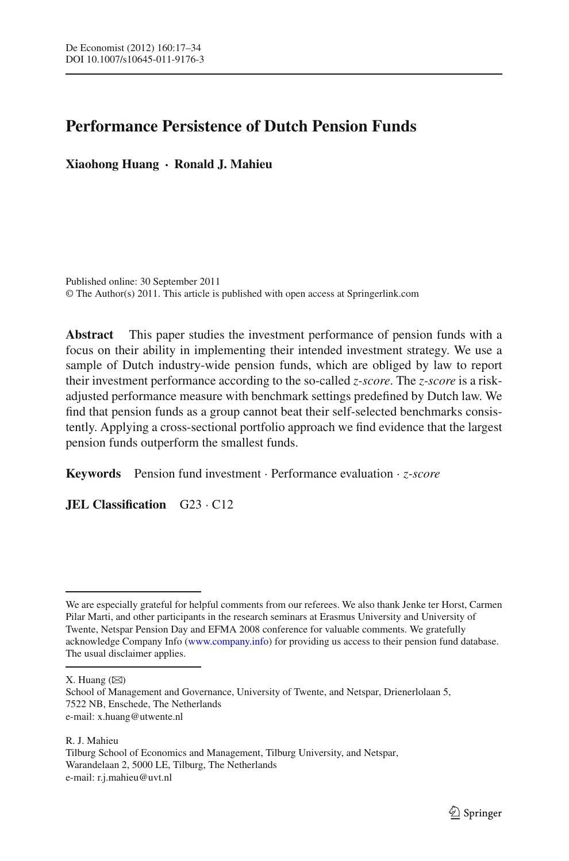# **Performance Persistence of Dutch Pension Funds**

**Xiaohong Huang · Ronald J. Mahieu**

Published online: 30 September 2011 © The Author(s) 2011. This article is published with open access at Springerlink.com

**Abstract** This paper studies the investment performance of pension funds with a focus on their ability in implementing their intended investment strategy. We use a sample of Dutch industry-wide pension funds, which are obliged by law to report their investment performance according to the so-called *z-score*. The *z-score* is a riskadjusted performance measure with benchmark settings predefined by Dutch law. We find that pension funds as a group cannot beat their self-selected benchmarks consistently. Applying a cross-sectional portfolio approach we find evidence that the largest pension funds outperform the smallest funds.

**Keywords** Pension fund investment · Performance evaluation · *z-score*

**JEL Classification** G23 · C12

We are especially grateful for helpful comments from our referees. We also thank Jenke ter Horst, Carmen Pilar Marti, and other participants in the research seminars at Erasmus University and University of Twente, Netspar Pension Day and EFMA 2008 conference for valuable comments. We gratefully acknowledge Company Info [\(www.company.info\)](www.company.info) for providing us access to their pension fund database. The usual disclaimer applies.

X. Huang  $(\boxtimes)$ 

School of Management and Governance, University of Twente, and Netspar, Drienerlolaan 5, 7522 NB, Enschede, The Netherlands e-mail: x.huang@utwente.nl

R. J. Mahieu Tilburg School of Economics and Management, Tilburg University, and Netspar, Warandelaan 2, 5000 LE, Tilburg, The Netherlands e-mail: r.j.mahieu@uvt.nl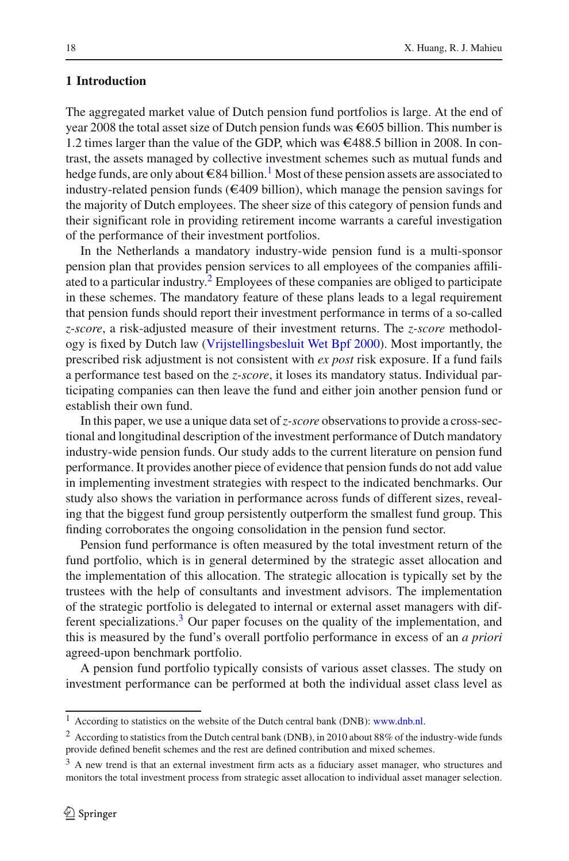# **1 Introduction**

The aggregated market value of Dutch pension fund portfolios is large. At the end of year 2008 the total asset size of Dutch pension funds was  $\epsilon$ 605 billion. This number is 1.2 times larger than the value of the GDP, which was  $\epsilon$ 488.5 billion in 2008. In contrast, the assets managed by collective investment schemes such as mutual funds and hedge funds, are only about  $\epsilon 84$  billion.<sup>[1](#page-1-0)</sup> Most of these pension assets are associated to industry-related pension funds ( $\epsilon$ 409 billion), which manage the pension savings for the majority of Dutch employees. The sheer size of this category of pension funds and their significant role in providing retirement income warrants a careful investigation of the performance of their investment portfolios.

In the Netherlands a mandatory industry-wide pension fund is a multi-sponsor pension plan that provides pension services to all employees of the companies affiliated to a particular industry.[2](#page-1-1) Employees of these companies are obliged to participate in these schemes. The mandatory feature of these plans leads to a legal requirement that pension funds should report their investment performance in terms of a so-called *z-score*, a risk-adjusted measure of their investment returns. The *z-score* methodology is fixed by Dutch law [\(Vrijstellingsbesluit Wet Bpf 2000\)](#page-17-0). Most importantly, the prescribed risk adjustment is not consistent with *ex post* risk exposure. If a fund fails a performance test based on the *z-score*, it loses its mandatory status. Individual participating companies can then leave the fund and either join another pension fund or establish their own fund.

In this paper, we use a unique data set of*z-score* observations to provide a cross-sectional and longitudinal description of the investment performance of Dutch mandatory industry-wide pension funds. Our study adds to the current literature on pension fund performance. It provides another piece of evidence that pension funds do not add value in implementing investment strategies with respect to the indicated benchmarks. Our study also shows the variation in performance across funds of different sizes, revealing that the biggest fund group persistently outperform the smallest fund group. This finding corroborates the ongoing consolidation in the pension fund sector.

Pension fund performance is often measured by the total investment return of the fund portfolio, which is in general determined by the strategic asset allocation and the implementation of this allocation. The strategic allocation is typically set by the trustees with the help of consultants and investment advisors. The implementation of the strategic portfolio is delegated to internal or external asset managers with different specializations.<sup>3</sup> Our paper focuses on the quality of the implementation, and this is measured by the fund's overall portfolio performance in excess of an *a priori* agreed-upon benchmark portfolio.

A pension fund portfolio typically consists of various asset classes. The study on investment performance can be performed at both the individual asset class level as

 $1$  According to statistics on the website of the Dutch central bank (DNB): [www.dnb.nl.](www.dnb.nl)

<span id="page-1-1"></span><span id="page-1-0"></span><sup>2</sup> According to statistics from the Dutch central bank (DNB), in 2010 about 88% of the industry-wide funds provide defined benefit schemes and the rest are defined contribution and mixed schemes.

<span id="page-1-2"></span><sup>&</sup>lt;sup>3</sup> A new trend is that an external investment firm acts as a fiduciary asset manager, who structures and monitors the total investment process from strategic asset allocation to individual asset manager selection.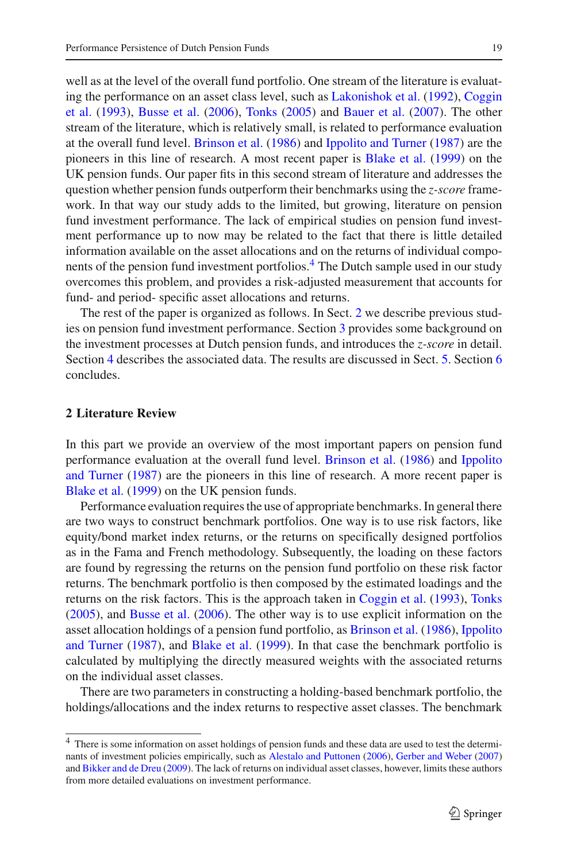well as at the level of the overall fund portfolio. One stream of the literature is evaluating t[he](#page-16-0) [performance](#page-16-0) [on](#page-16-0) [an](#page-16-0) [asset](#page-16-0) [class](#page-16-0) [level,](#page-16-0) [such](#page-16-0) [as](#page-16-0) [Lakonishok et al.](#page-17-1) [\(1992](#page-17-1)), Coggin et al. [\(1993\)](#page-16-0), [Busse et al.](#page-16-1) [\(2006\)](#page-16-1), [Tonks](#page-17-2) [\(2005\)](#page-17-2) and [Bauer et al.](#page-16-2) [\(2007](#page-16-2)). The other stream of the literature, which is relatively small, is related to performance evaluation at the overall fund level. [Brinson et al.](#page-16-3) [\(1986](#page-16-3)) and [Ippolito and Turner](#page-17-3) [\(1987](#page-17-3)) are the pioneers in this line of research. A most recent paper is [Blake et al.](#page-16-4) [\(1999\)](#page-16-4) on the UK pension funds. Our paper fits in this second stream of literature and addresses the question whether pension funds outperform their benchmarks using the *z-score* framework. In that way our study adds to the limited, but growing, literature on pension fund investment performance. The lack of empirical studies on pension fund investment performance up to now may be related to the fact that there is little detailed information available on the asset allocations and on the returns of individual components of the pension fund investment portfolios.<sup>4</sup> The Dutch sample used in our study overcomes this problem, and provides a risk-adjusted measurement that accounts for fund- and period- specific asset allocations and returns.

The rest of the paper is organized as follows. In Sect. [2](#page-2-1) we describe previous studies on pension fund investment performance. Section [3](#page-3-0) provides some background on the investment processes at Dutch pension funds, and introduces the *z-score* in detail. Section [4](#page-6-0) describes the associated data. The results are discussed in Sect. [5.](#page-8-0) Section [6](#page-14-0) concludes.

# <span id="page-2-1"></span>**2 Literature Review**

In this part we provide an overview of the most important papers on pension fund performan[ce](#page-17-3) [evaluation](#page-17-3) [at](#page-17-3) [the](#page-17-3) [overall](#page-17-3) [fund](#page-17-3) [level.](#page-17-3) [Brinson et al.](#page-16-3) [\(1986](#page-16-3)) and Ippolito and Turner [\(1987\)](#page-17-3) are the pioneers in this line of research. A more recent paper is [Blake et al.](#page-16-4) [\(1999](#page-16-4)) on the UK pension funds.

Performance evaluation requires the use of appropriate benchmarks. In general there are two ways to construct benchmark portfolios. One way is to use risk factors, like equity/bond market index returns, or the returns on specifically designed portfolios as in the Fama and French methodology. Subsequently, the loading on these factors are found by regressing the returns on the pension fund portfolio on these risk factor returns. The benchmark portfolio is then composed by the estimated loadings and the returns on the risk factors. This is the approach taken in [Coggin et al.](#page-16-0) [\(1993](#page-16-0)), [Tonks](#page-17-2) [\(2005\)](#page-17-2), and [Busse et al.](#page-16-1) [\(2006](#page-16-1)). The other way is to use explicit information on the asset alloc[ation](#page-17-3) [holdings](#page-17-3) [of](#page-17-3) [a](#page-17-3) [pension](#page-17-3) [fund](#page-17-3) [portfolio,](#page-17-3) [as](#page-17-3) [Brinson et al.](#page-16-3) [\(1986\)](#page-16-3), Ippolito and Turner [\(1987\)](#page-17-3), and [Blake et al.](#page-16-4) [\(1999](#page-16-4)). In that case the benchmark portfolio is calculated by multiplying the directly measured weights with the associated returns on the individual asset classes.

There are two parameters in constructing a holding-based benchmark portfolio, the holdings/allocations and the index returns to respective asset classes. The benchmark

<span id="page-2-0"></span><sup>4</sup> There is some information on asset holdings of pension funds and these data are used to test the determinants of investment policies empirically, such as [Alestalo and Puttonen](#page-16-5) [\(2006](#page-16-5)), [Gerber and Weber](#page-16-6) [\(2007](#page-16-6)) and [Bikker and de Dreu](#page-16-7) [\(2009\)](#page-16-7). The lack of returns on individual asset classes, however, limits these authors from more detailed evaluations on investment performance.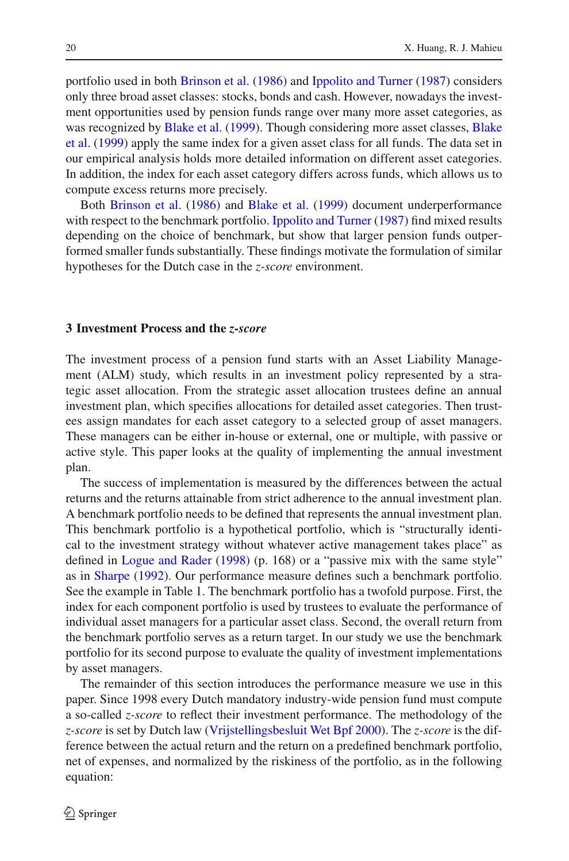portfolio used in both [Brinson et al.](#page-16-3) [\(1986\)](#page-16-3) and [Ippolito and Turner](#page-17-3) [\(1987\)](#page-17-3) considers only three broad asset classes: stocks, bonds and cash. However, nowadays the investment opportunities used by pension funds range over many more asset categories, as was recognized by [Blake et al.](#page-16-4) [\(1999\).](#page-16-4) [Though](#page-16-4) [considering](#page-16-4) [more](#page-16-4) [asset](#page-16-4) [classes,](#page-16-4) Blake et al. [\(1999\)](#page-16-4) apply the same index for a given asset class for all funds. The data set in our empirical analysis holds more detailed information on different asset categories. In addition, the index for each asset category differs across funds, which allows us to compute excess returns more precisely.

Both [Brinson et al.](#page-16-3) [\(1986](#page-16-3)) and [Blake et al.](#page-16-4) [\(1999](#page-16-4)) document underperformance with respect to the benchmark portfolio. [Ippolito and Turner](#page-17-3) [\(1987](#page-17-3)) find mixed results depending on the choice of benchmark, but show that larger pension funds outperformed smaller funds substantially. These findings motivate the formulation of similar hypotheses for the Dutch case in the *z-score* environment.

## <span id="page-3-0"></span>**3 Investment Process and the** *z-score*

The investment process of a pension fund starts with an Asset Liability Management (ALM) study, which results in an investment policy represented by a strategic asset allocation. From the strategic asset allocation trustees define an annual investment plan, which specifies allocations for detailed asset categories. Then trustees assign mandates for each asset category to a selected group of asset managers. These managers can be either in-house or external, one or multiple, with passive or active style. This paper looks at the quality of implementing the annual investment plan.

The success of implementation is measured by the differences between the actual returns and the returns attainable from strict adherence to the annual investment plan. A benchmark portfolio needs to be defined that represents the annual investment plan. This benchmark portfolio is a hypothetical portfolio, which is "structurally identical to the investment strategy without whatever active management takes place" as defined in [Logue and Rader](#page-17-4) [\(1998\)](#page-17-4) (p. 168) or a "passive mix with the same style" as in [Sharpe](#page-17-5) [\(1992\)](#page-17-5). Our performance measure defines such a benchmark portfolio. See the example in Table [1.](#page-4-0) The benchmark portfolio has a twofold purpose. First, the index for each component portfolio is used by trustees to evaluate the performance of individual asset managers for a particular asset class. Second, the overall return from the benchmark portfolio serves as a return target. In our study we use the benchmark portfolio for its second purpose to evaluate the quality of investment implementations by asset managers.

The remainder of this section introduces the performance measure we use in this paper. Since 1998 every Dutch mandatory industry-wide pension fund must compute a so-called *z-score* to reflect their investment performance. The methodology of the *z-score* is set by Dutch law [\(Vrijstellingsbesluit Wet Bpf 2000](#page-17-0)). The *z-score* is the difference between the actual return and the return on a predefined benchmark portfolio, net of expenses, and normalized by the riskiness of the portfolio, as in the following equation: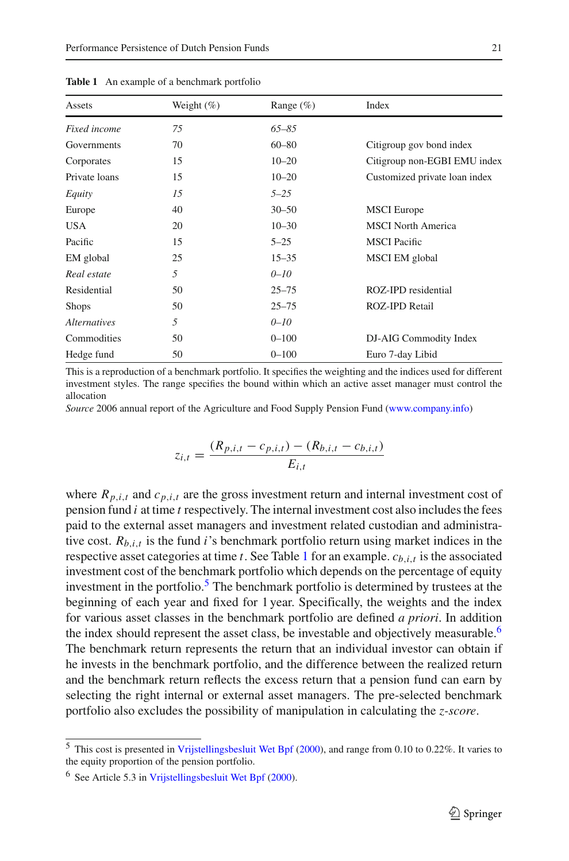<span id="page-4-0"></span>

| Assets              | Weight $(\%)$ | Range $(\% )$ | Index                         |
|---------------------|---------------|---------------|-------------------------------|
| Fixed income        | 75            | $65 - 85$     |                               |
| Governments         | 70            | $60 - 80$     | Citigroup gov bond index      |
| Corporates          | 15            | $10 - 20$     | Citigroup non-EGBI EMU index  |
| Private loans       | 15            | $10 - 20$     | Customized private loan index |
| Equity              | 15            | $5 - 25$      |                               |
| Europe              | 40            | $30 - 50$     | <b>MSCI</b> Europe            |
| <b>USA</b>          | 20            | $10 - 30$     | <b>MSCI</b> North America     |
| Pacific             | 15            | $5 - 25$      | <b>MSCI</b> Pacific           |
| EM global           | 25            | $15 - 35$     | MSCI EM global                |
| Real estate         | 5             | $0 - 10$      |                               |
| Residential         | 50            | $25 - 75$     | ROZ-IPD residential           |
| <b>Shops</b>        | 50            | $25 - 75$     | <b>ROZ-IPD Retail</b>         |
| <i>Alternatives</i> | 5             | $0 - 10$      |                               |
| Commodities         | 50            | $0 - 100$     | DJ-AIG Commodity Index        |
| Hedge fund          | 50            | $0 - 100$     | Euro 7-day Libid              |

**Table 1** An example of a benchmark portfolio

This is a reproduction of a benchmark portfolio. It specifies the weighting and the indices used for different investment styles. The range specifies the bound within which an active asset manager must control the allocation

*Source* 2006 annual report of the Agriculture and Food Supply Pension Fund [\(www.company.info\)](www.company.info)

$$
z_{i,t} = \frac{(R_{p,i,t} - c_{p,i,t}) - (R_{b,i,t} - c_{b,i,t})}{E_{i,t}}
$$

where  $R_{p,i,t}$  and  $c_{p,i,t}$  are the gross investment return and internal investment cost of pension fund *i* at time *t* respectively. The internal investment cost also includes the fees paid to the external asset managers and investment related custodian and administrative cost.  $R_{b,i,t}$  is the fund *i*'s benchmark portfolio return using market indices in the respective asset categories at time *t*. See Table [1](#page-4-0) for an example.  $c_{b,i,t}$  is the associated investment cost of the benchmark portfolio which depends on the percentage of equity investment in the portfolio.<sup>5</sup> The benchmark portfolio is determined by trustees at the beginning of each year and fixed for 1 year. Specifically, the weights and the index for various asset classes in the benchmark portfolio are defined *a priori*. In addition the index should represent the asset class, be investable and objectively measurable.<sup>6</sup> The benchmark return represents the return that an individual investor can obtain if he invests in the benchmark portfolio, and the difference between the realized return and the benchmark return reflects the excess return that a pension fund can earn by selecting the right internal or external asset managers. The pre-selected benchmark portfolio also excludes the possibility of manipulation in calculating the *z-score*.

<span id="page-4-1"></span><sup>5</sup> This cost is presented in [Vrijstellingsbesluit Wet Bpf](#page-17-0) [\(2000](#page-17-0)), and range from 0.10 to 0.22%. It varies to the equity proportion of the pension portfolio.

<span id="page-4-2"></span><sup>6</sup> See Article 5.3 in [Vrijstellingsbesluit Wet Bpf](#page-17-0) [\(2000](#page-17-0)).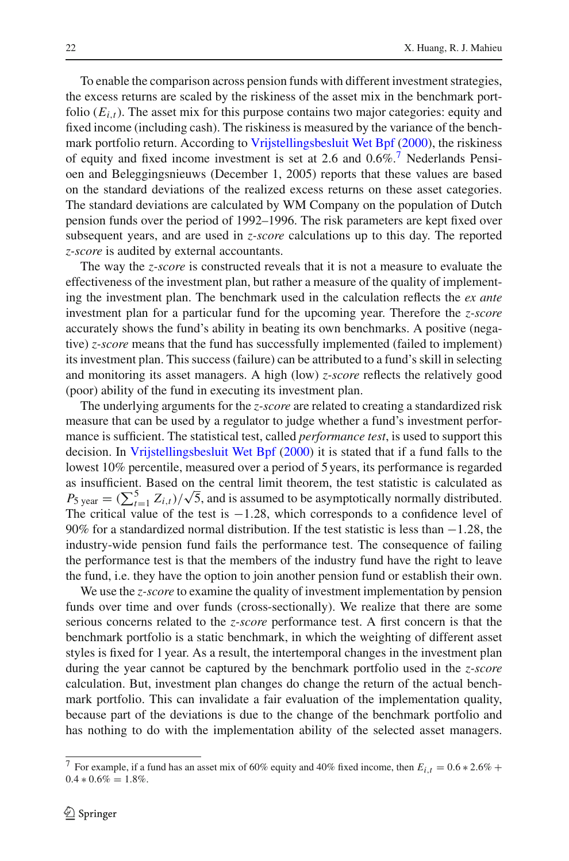To enable the comparison across pension funds with different investment strategies, the excess returns are scaled by the riskiness of the asset mix in the benchmark portfolio  $(E_{i,t})$ . The asset mix for this purpose contains two major categories: equity and fixed income (including cash). The riskiness is measured by the variance of the benchmark portfolio return. According to [Vrijstellingsbesluit Wet Bpf](#page-17-0) [\(2000\)](#page-17-0), the riskiness of equity and fixed income investment is set at 2.6 and  $0.6\%$ .<sup>7</sup> Nederlands Pensioen and Beleggingsnieuws (December 1, 2005) reports that these values are based on the standard deviations of the realized excess returns on these asset categories. The standard deviations are calculated by WM Company on the population of Dutch pension funds over the period of 1992–1996. The risk parameters are kept fixed over subsequent years, and are used in *z-score* calculations up to this day. The reported *z-score* is audited by external accountants.

The way the *z-score* is constructed reveals that it is not a measure to evaluate the effectiveness of the investment plan, but rather a measure of the quality of implementing the investment plan. The benchmark used in the calculation reflects the *ex ante* investment plan for a particular fund for the upcoming year. Therefore the *z-score* accurately shows the fund's ability in beating its own benchmarks. A positive (negative) *z-score* means that the fund has successfully implemented (failed to implement) its investment plan. This success (failure) can be attributed to a fund's skill in selecting and monitoring its asset managers. A high (low) *z-score* reflects the relatively good (poor) ability of the fund in executing its investment plan.

The underlying arguments for the *z-score* are related to creating a standardized risk measure that can be used by a regulator to judge whether a fund's investment performance is sufficient. The statistical test, called *performance test*, is used to support this decision. In [Vrijstellingsbesluit Wet Bpf](#page-17-0) [\(2000](#page-17-0)) it is stated that if a fund falls to the lowest 10% percentile, measured over a period of 5 years, its performance is regarded as insufficient. Based on the central limit theorem, the test statistic is calculated as  $P_{5 \text{ year}} = (\sum_{t=1}^{5} Z_{i,t})/\sqrt{5}$ , and is assumed to be asymptotically normally distributed. The critical value of the test is  $-1.28$ , which corresponds to a confidence level of 90% for a standardized normal distribution. If the test statistic is less than −1.28, the industry-wide pension fund fails the performance test. The consequence of failing the performance test is that the members of the industry fund have the right to leave the fund, i.e. they have the option to join another pension fund or establish their own.

We use the *z-score* to examine the quality of investment implementation by pension funds over time and over funds (cross-sectionally). We realize that there are some serious concerns related to the *z-score* performance test. A first concern is that the benchmark portfolio is a static benchmark, in which the weighting of different asset styles is fixed for 1 year. As a result, the intertemporal changes in the investment plan during the year cannot be captured by the benchmark portfolio used in the *z-score* calculation. But, investment plan changes do change the return of the actual benchmark portfolio. This can invalidate a fair evaluation of the implementation quality, because part of the deviations is due to the change of the benchmark portfolio and has nothing to do with the implementation ability of the selected asset managers.

<span id="page-5-0"></span><sup>&</sup>lt;sup>7</sup> For example, if a fund has an asset mix of 60% equity and 40% fixed income, then  $E_{i,t} = 0.6 * 2.6%$  +  $0.4 * 0.6\% = 1.8\%$ .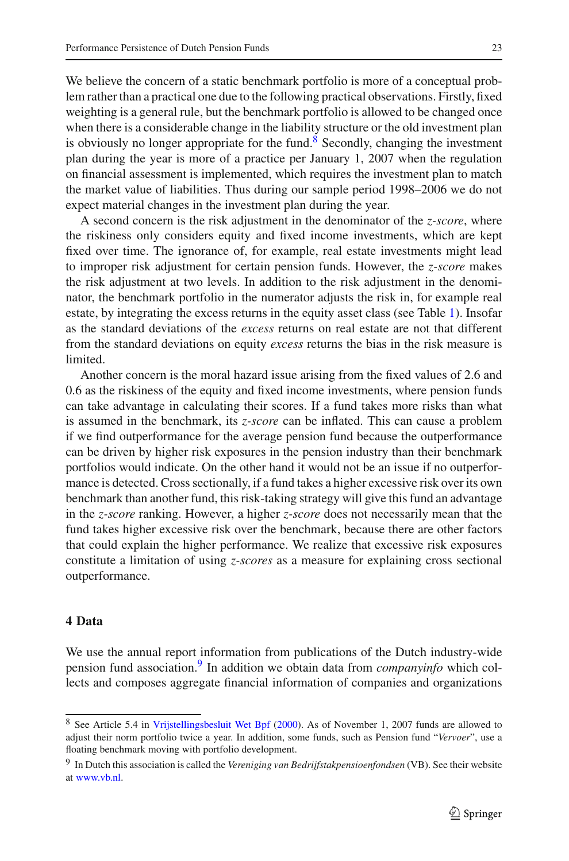We believe the concern of a static benchmark portfolio is more of a conceptual problem rather than a practical one due to the following practical observations. Firstly, fixed weighting is a general rule, but the benchmark portfolio is allowed to be changed once when there is a considerable change in the liability structure or the old investment plan is obviously no longer appropriate for the fund.<sup>[8](#page-6-1)</sup> Secondly, changing the investment plan during the year is more of a practice per January 1, 2007 when the regulation on financial assessment is implemented, which requires the investment plan to match the market value of liabilities. Thus during our sample period 1998–2006 we do not expect material changes in the investment plan during the year.

A second concern is the risk adjustment in the denominator of the *z-score*, where the riskiness only considers equity and fixed income investments, which are kept fixed over time. The ignorance of, for example, real estate investments might lead to improper risk adjustment for certain pension funds. However, the *z-score* makes the risk adjustment at two levels. In addition to the risk adjustment in the denominator, the benchmark portfolio in the numerator adjusts the risk in, for example real estate, by integrating the excess returns in the equity asset class (see Table [1\)](#page-4-0). Insofar as the standard deviations of the *excess* returns on real estate are not that different from the standard deviations on equity *excess* returns the bias in the risk measure is limited.

Another concern is the moral hazard issue arising from the fixed values of 2.6 and 0.6 as the riskiness of the equity and fixed income investments, where pension funds can take advantage in calculating their scores. If a fund takes more risks than what is assumed in the benchmark, its *z-score* can be inflated. This can cause a problem if we find outperformance for the average pension fund because the outperformance can be driven by higher risk exposures in the pension industry than their benchmark portfolios would indicate. On the other hand it would not be an issue if no outperformance is detected. Cross sectionally, if a fund takes a higher excessive risk over its own benchmark than another fund, this risk-taking strategy will give this fund an advantage in the *z-score* ranking. However, a higher *z-score* does not necessarily mean that the fund takes higher excessive risk over the benchmark, because there are other factors that could explain the higher performance. We realize that excessive risk exposures constitute a limitation of using *z-scores* as a measure for explaining cross sectional outperformance.

# <span id="page-6-0"></span>**4 Data**

We use the annual report information from publications of the Dutch industry-wide pension fund association.[9](#page-6-2) In addition we obtain data from *companyinfo* which collects and composes aggregate financial information of companies and organizations

<span id="page-6-1"></span><sup>8</sup> See Article 5.4 in [Vrijstellingsbesluit Wet Bpf](#page-17-0) [\(2000](#page-17-0)). As of November 1, 2007 funds are allowed to adjust their norm portfolio twice a year. In addition, some funds, such as Pension fund "*Vervoer*", use a floating benchmark moving with portfolio development.

<span id="page-6-2"></span><sup>9</sup> In Dutch this association is called the *Vereniging van Bedrijfstakpensioenfondsen* (VB). See their website at [www.vb.nl.](www.vb.nl)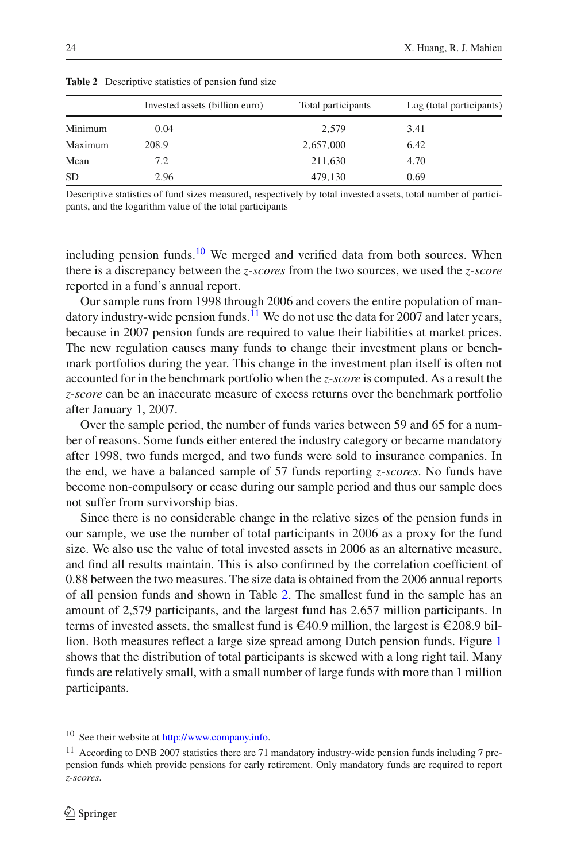|           | Invested assets (billion euro) | Total participants | Log (total participants) |
|-----------|--------------------------------|--------------------|--------------------------|
| Minimum   | 0.04                           | 2.579              | 3.41                     |
| Maximum   | 208.9                          | 2,657,000          | 6.42                     |
| Mean      | 7.2                            | 211,630            | 4.70                     |
| <b>SD</b> | 2.96                           | 479,130            | 0.69                     |

<span id="page-7-2"></span>**Table 2** Descriptive statistics of pension fund size

Descriptive statistics of fund sizes measured, respectively by total invested assets, total number of participants, and the logarithm value of the total participants

including pension funds.<sup>[10](#page-7-0)</sup> We merged and verified data from both sources. When there is a discrepancy between the *z-scores* from the two sources, we used the *z-score* reported in a fund's annual report.

Our sample runs from 1998 through 2006 and covers the entire population of mandatory industry-wide pension funds. $11$  We do not use the data for 2007 and later years, because in 2007 pension funds are required to value their liabilities at market prices. The new regulation causes many funds to change their investment plans or benchmark portfolios during the year. This change in the investment plan itself is often not accounted for in the benchmark portfolio when the *z-score* is computed. As a result the *z-score* can be an inaccurate measure of excess returns over the benchmark portfolio after January 1, 2007.

Over the sample period, the number of funds varies between 59 and 65 for a number of reasons. Some funds either entered the industry category or became mandatory after 1998, two funds merged, and two funds were sold to insurance companies. In the end, we have a balanced sample of 57 funds reporting *z-scores*. No funds have become non-compulsory or cease during our sample period and thus our sample does not suffer from survivorship bias.

Since there is no considerable change in the relative sizes of the pension funds in our sample, we use the number of total participants in 2006 as a proxy for the fund size. We also use the value of total invested assets in 2006 as an alternative measure, and find all results maintain. This is also confirmed by the correlation coefficient of 0.88 between the two measures. The size data is obtained from the 2006 annual reports of all pension funds and shown in Table [2.](#page-7-2) The smallest fund in the sample has an amount of 2,579 participants, and the largest fund has 2.657 million participants. In terms of invested assets, the smallest fund is  $\epsilon$ 40.9 million, the largest is  $\epsilon$ 208.9 billion. Both measures reflect a large size spread among Dutch pension funds. Figure [1](#page-8-1) shows that the distribution of total participants is skewed with a long right tail. Many funds are relatively small, with a small number of large funds with more than 1 million participants.

<sup>10</sup> See their website at [http://www.company.info.](http://www.company.info)

<span id="page-7-1"></span><span id="page-7-0"></span><sup>&</sup>lt;sup>11</sup> According to DNB 2007 statistics there are 71 mandatory industry-wide pension funds including 7 prepension funds which provide pensions for early retirement. Only mandatory funds are required to report *z-scores*.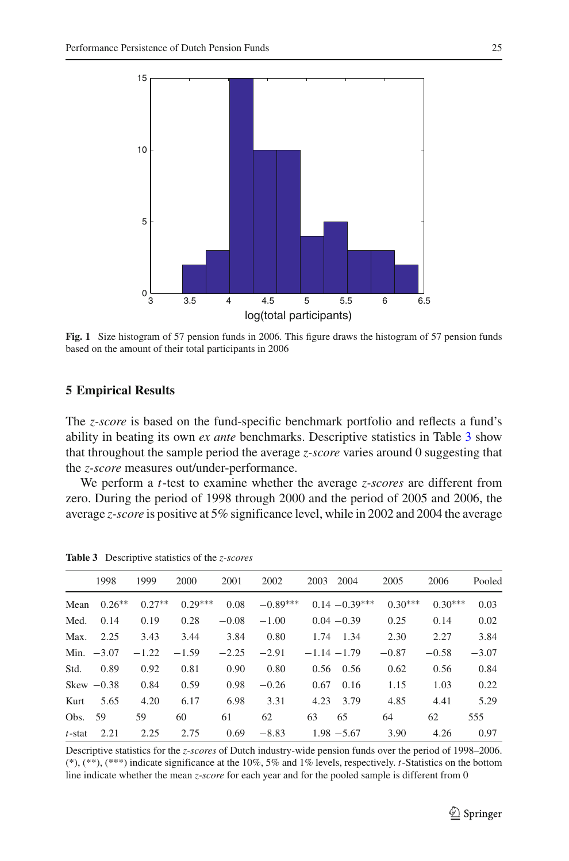

<span id="page-8-1"></span>**Fig. 1** Size histogram of 57 pension funds in 2006. This figure draws the histogram of 57 pension funds based on the amount of their total participants in 2006

# <span id="page-8-0"></span>**5 Empirical Results**

The *z-score* is based on the fund-specific benchmark portfolio and reflects a fund's ability in beating its own *ex ante* benchmarks. Descriptive statistics in Table [3](#page-8-2) show that throughout the sample period the average *z-score* varies around 0 suggesting that the *z-score* measures out/under-performance.

We perform a *t*-test to examine whether the average *z-scores* are different from zero. During the period of 1998 through 2000 and the period of 2005 and 2006, the average *z-score* is positive at 5% significance level, while in 2002 and 2004 the average

<span id="page-8-2"></span>

|           | 1998         | 1999     | 2000      | 2001    | 2002       | 2004<br>2003     | 2005      | 2006      | Pooled  |
|-----------|--------------|----------|-----------|---------|------------|------------------|-----------|-----------|---------|
| Mean      | $0.26**$     | $0.27**$ | $0.29***$ | 0.08    | $-0.89***$ | $0.14 - 0.39***$ | $0.30***$ | $0.30***$ | 0.03    |
| Med.      | 0.14         | 0.19     | 0.28      | $-0.08$ | $-1.00$    | $0.04 - 0.39$    | 0.25      | 0.14      | 0.02    |
| Max.      | 2.25         | 3.43     | 3.44      | 3.84    | 0.80       | 1.74<br>1.34     | 2.30      | 2.27      | 3.84    |
|           | Min. $-3.07$ | $-1.22$  | $-1.59$   | $-2.25$ | $-2.91$    | $-1.14 - 1.79$   | $-0.87$   | $-0.58$   | $-3.07$ |
| Std.      | 0.89         | 0.92     | 0.81      | 0.90    | 0.80       | 0.56<br>0.56     | 0.62      | 0.56      | 0.84    |
|           | Skew $-0.38$ | 0.84     | 0.59      | 0.98    | $-0.26$    | 0.67<br>0.16     | 1.15      | 1.03      | 0.22    |
| Kurt      | 5.65         | 4.20     | 6.17      | 6.98    | 3.31       | 4.23<br>3.79     | 4.85      | 4.41      | 5.29    |
| Obs.      | 59           | 59       | 60        | 61      | 62         | 63<br>65         | 64        | 62        | 555     |
| $t$ -stat | 2.21         | 2.25     | 2.75      | 0.69    | $-8.83$    | $1.98 - 5.67$    | 3.90      | 4.26      | 0.97    |

**Table 3** Descriptive statistics of the *z-scores*

Descriptive statistics for the *z-scores* of Dutch industry-wide pension funds over the period of 1998–2006. (\*), (\*\*), (\*\*\*) indicate significance at the 10%, 5% and 1% levels, respectively. *t*-Statistics on the bottom line indicate whether the mean *z-score* for each year and for the pooled sample is different from 0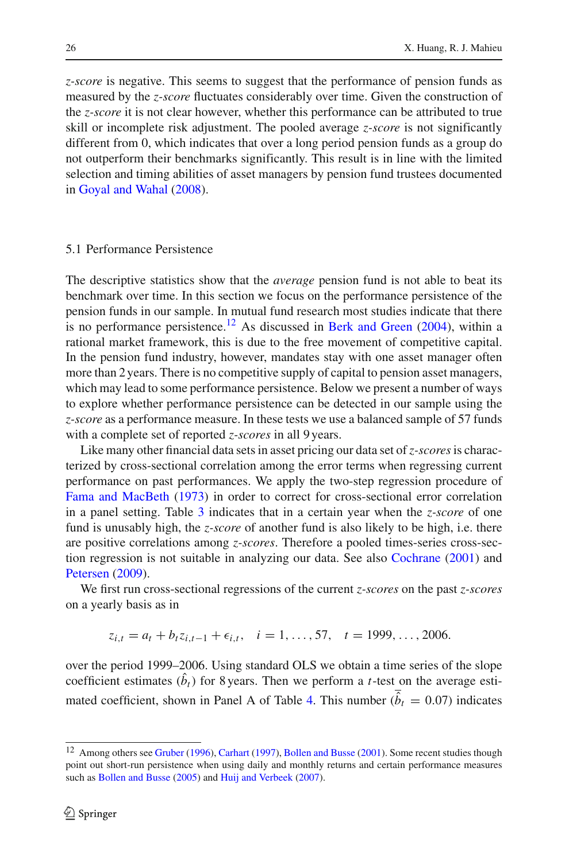*z-score* is negative. This seems to suggest that the performance of pension funds as measured by the *z-score* fluctuates considerably over time. Given the construction of the *z-score* it is not clear however, whether this performance can be attributed to true skill or incomplete risk adjustment. The pooled average *z-score* is not significantly different from 0, which indicates that over a long period pension funds as a group do not outperform their benchmarks significantly. This result is in line with the limited selection and timing abilities of asset managers by pension fund trustees documented in [Goyal and Wahal](#page-16-8) [\(2008\)](#page-16-8).

#### 5.1 Performance Persistence

The descriptive statistics show that the *average* pension fund is not able to beat its benchmark over time. In this section we focus on the performance persistence of the pension funds in our sample. In mutual fund research most studies indicate that there is no performance persistence.<sup>12</sup> As discussed in [Berk and Green](#page-16-9)  $(2004)$  $(2004)$ , within a rational market framework, this is due to the free movement of competitive capital. In the pension fund industry, however, mandates stay with one asset manager often more than 2 years. There is no competitive supply of capital to pension asset managers, which may lead to some performance persistence. Below we present a number of ways to explore whether performance persistence can be detected in our sample using the *z-score* as a performance measure. In these tests we use a balanced sample of 57 funds with a complete set of reported *z-scores* in all 9 years.

Like many other financial data sets in asset pricing our data set of*z-scores*is characterized by cross-sectional correlation among the error terms when regressing current performance on past performances. We apply the two-step regression procedure of [Fama and MacBeth](#page-16-10) [\(1973\)](#page-16-10) in order to correct for cross-sectional error correlation in a panel setting. Table [3](#page-8-2) indicates that in a certain year when the *z-score* of one fund is unusably high, the *z-score* of another fund is also likely to be high, i.e. there are positive correlations among *z-scores*. Therefore a pooled times-series cross-section regression is not suitable in analyzing our data. See also [Cochrane](#page-16-11) [\(2001](#page-16-11)) and [Petersen](#page-17-6) [\(2009](#page-17-6)).

We first run cross-sectional regressions of the current *z-scores* on the past *z-scores* on a yearly basis as in

$$
z_{i,t} = a_t + b_t z_{i,t-1} + \epsilon_{i,t}, \quad i = 1, \ldots, 57, \quad t = 1999, \ldots, 2006.
$$

over the period 1999–2006. Using standard OLS we obtain a time series of the slope coefficient estimates  $(b_t)$  for 8 years. Then we perform a *t*-test on the average esti-mated coefficient, shown in Panel A of Table [4.](#page-10-0) This number ( $\hat{b}_t = 0.07$ ) indicates

<span id="page-9-0"></span><sup>&</sup>lt;sup>12</sup> Among others see [Gruber](#page-17-7) [\(1996\)](#page-17-7), [Carhart](#page-16-12) [\(1997](#page-16-12)), [Bollen and Busse](#page-16-13) [\(2001\)](#page-16-13). Some recent studies though point out short-run persistence when using daily and monthly returns and certain performance measures such as [Bollen and Busse](#page-16-14) [\(2005](#page-16-14)) and [Huij and Verbeek](#page-17-8) [\(2007\)](#page-17-8).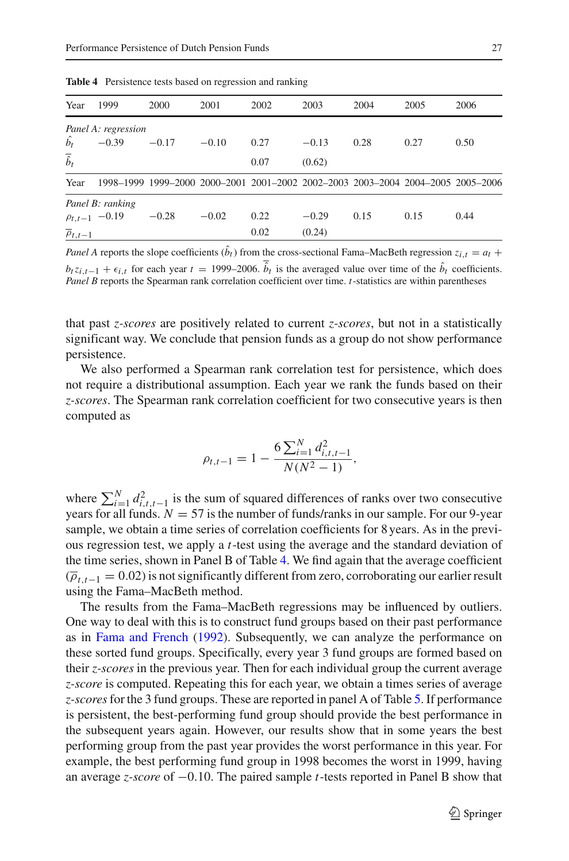<span id="page-10-0"></span>

| Year                      | 1999                 | 2000    | 2001    | 2002 | 2003    | 2004                                                                            | 2005 | 2006 |
|---------------------------|----------------------|---------|---------|------|---------|---------------------------------------------------------------------------------|------|------|
|                           | Panel A: regression  |         |         |      |         |                                                                                 |      |      |
| $\hat{b_t}$               | $-0.39$              | $-0.17$ | $-0.10$ | 0.27 | $-0.13$ | 0.28                                                                            | 0.27 | 0.50 |
| $\overline{\hat{b}}_t$    |                      |         |         | 0.07 | (0.62)  |                                                                                 |      |      |
| Year                      |                      |         |         |      |         | 1998-1999 1999-2000 2000-2001 2001-2002 2002-2003 2003-2004 2004-2005 2005-2006 |      |      |
|                           | Panel B: ranking     |         |         |      |         |                                                                                 |      |      |
|                           | $\rho_{t,t-1}$ -0.19 | $-0.28$ | $-0.02$ | 0.22 | $-0.29$ | 0.15                                                                            | 0.15 | 0.44 |
| $\overline{\rho}_{t,t-1}$ |                      |         |         | 0.02 | (0.24)  |                                                                                 |      |      |
|                           |                      |         |         |      |         |                                                                                 |      |      |

**Table 4** Persistence tests based on regression and ranking

*Panel A* reports the slope coefficients  $(b_t)$  from the cross-sectional Fama–MacBeth regression  $z_{i,t} = a_t + b_t$  $b_t z_{i,t-1} + \epsilon_{i,t}$  for each year  $t = 1999-2006$ .  $b_t$  is the averaged value over time of the  $b_t$  coefficients. *Panel B* reports the Spearman rank correlation coefficient over time. *t*-statistics are within parentheses

that past *z-scores* are positively related to current *z-scores*, but not in a statistically significant way. We conclude that pension funds as a group do not show performance persistence.

We also performed a Spearman rank correlation test for persistence, which does not require a distributional assumption. Each year we rank the funds based on their *z-scores*. The Spearman rank correlation coefficient for two consecutive years is then computed as

$$
\rho_{t,t-1} = 1 - \frac{6 \sum_{i=1}^{N} d_{i,t,t-1}^2}{N(N^2 - 1)},
$$

where  $\sum_{i=1}^{N} d_{i,t,t-1}^2$  is the sum of squared differences of ranks over two consecutive years for all funds.  $N = 57$  is the number of funds/ranks in our sample. For our 9-year sample, we obtain a time series of correlation coefficients for 8 years. As in the previous regression test, we apply a *t*-test using the average and the standard deviation of the time series, shown in Panel B of Table [4.](#page-10-0) We find again that the average coefficient  $(\overline{\rho}_{t,t-1} = 0.02)$  is not significantly different from zero, corroborating our earlier result using the Fama–MacBeth method.

The results from the Fama–MacBeth regressions may be influenced by outliers. One way to deal with this is to construct fund groups based on their past performance as in [Fama and French](#page-16-15) [\(1992\)](#page-16-15). Subsequently, we can analyze the performance on these sorted fund groups. Specifically, every year 3 fund groups are formed based on their *z-scores* in the previous year. Then for each individual group the current average *z-score* is computed. Repeating this for each year, we obtain a times series of average *z-scores*for the 3 fund groups. These are reported in panel A of Table [5.](#page-11-0) If performance is persistent, the best-performing fund group should provide the best performance in the subsequent years again. However, our results show that in some years the best performing group from the past year provides the worst performance in this year. For example, the best performing fund group in 1998 becomes the worst in 1999, having an average *z-score* of −0.10. The paired sample *t*-tests reported in Panel B show that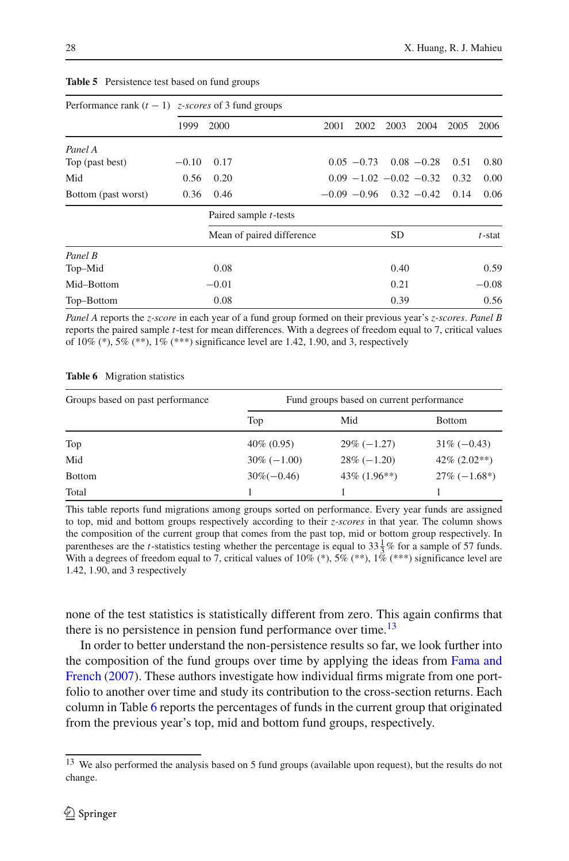<span id="page-11-0"></span>

|                     | Performance rank $(t - 1)$ <i>z</i> -scores of 3 fund groups |                               |      |                                  |           |               |      |           |
|---------------------|--------------------------------------------------------------|-------------------------------|------|----------------------------------|-----------|---------------|------|-----------|
|                     | 1999                                                         | 2000                          | 2001 | 2002                             | 2003      | 2004          | 2005 | 2006      |
| Panel A             |                                                              |                               |      |                                  |           |               |      |           |
| Top (past best)     | $-0.10$                                                      | 0.17                          |      | $0.05 - 0.73$                    |           | $0.08 - 0.28$ | 0.51 | 0.80      |
| Mid                 | 0.56                                                         | 0.20                          |      | $0.09 - 1.02 - 0.02 - 0.32$      |           |               | 0.32 | 0.00      |
| Bottom (past worst) | 0.36                                                         | 0.46                          |      | $-0.09 - 0.96$ 0.32 $-0.42$ 0.14 |           |               |      | 0.06      |
|                     |                                                              | Paired sample <i>t</i> -tests |      |                                  |           |               |      |           |
|                     |                                                              | Mean of paired difference     |      |                                  | <b>SD</b> |               |      | $t$ -stat |
| Panel B             |                                                              |                               |      |                                  |           |               |      |           |
| Top-Mid             |                                                              | 0.08                          |      |                                  | 0.40      |               |      | 0.59      |
| Mid-Bottom          |                                                              | $-0.01$                       |      |                                  | 0.21      |               |      | $-0.08$   |
| Top-Bottom          |                                                              | 0.08                          |      |                                  | 0.39      |               |      | 0.56      |

#### **Table 5** Persistence test based on fund groups

*Panel A* reports the *z-score* in each year of a fund group formed on their previous year's *z-scores*. *Panel B* reports the paired sample *t*-test for mean differences. With a degrees of freedom equal to 7, critical values of 10% (\*), 5% (\*\*), 1% (\*\*\*) significance level are 1.42, 1.90, and 3, respectively

|  | <b>Table 6</b> Migration statistics |  |
|--|-------------------------------------|--|
|--|-------------------------------------|--|

<span id="page-11-2"></span>

| Groups based on past performance | Fund groups based on current performance |                 |                 |  |  |  |
|----------------------------------|------------------------------------------|-----------------|-----------------|--|--|--|
|                                  | Top                                      | Mid             | <b>Bottom</b>   |  |  |  |
| Top                              | $40\% (0.95)$                            | $29\%(-1.27)$   | $31\%(-0.43)$   |  |  |  |
| Mid                              | $30\% (-1.00)$                           | $28\%(-1.20)$   | $42\% (2.02**)$ |  |  |  |
| <b>Bottom</b>                    | $30\%(-0.46)$                            | $43\%$ (1.96**) | $27\%(-1.68^*)$ |  |  |  |
| Total                            |                                          |                 |                 |  |  |  |

This table reports fund migrations among groups sorted on performance. Every year funds are assigned to top, mid and bottom groups respectively according to their *z-scores* in that year. The column shows the composition of the current group that comes from the past top, mid or bottom group respectively. In parentheses are the *t*-statistics testing whether the percentage is equal to  $33\frac{1}{3}\%$  for a sample of 57 funds. With a degrees of freedom equal to 7, critical values of 10% (\*),  $5\%$  (\*\*),  $1\%$  (\*\*\*) significance level are 1.42, 1.90, and 3 respectively

none of the test statistics is statistically different from zero. This again confirms that there is no persistence in pension fund performance over time.<sup>13</sup>

In order to better understand the non-persistence results so far, we look further into the co[mposition](#page-16-16) [of](#page-16-16) [the](#page-16-16) [fund](#page-16-16) [groups](#page-16-16) [over](#page-16-16) [time](#page-16-16) [by](#page-16-16) [applying](#page-16-16) [the](#page-16-16) [ideas](#page-16-16) [from](#page-16-16) Fama and French [\(2007\)](#page-16-16). These authors investigate how individual firms migrate from one portfolio to another over time and study its contribution to the cross-section returns. Each column in Table [6](#page-11-2) reports the percentages of funds in the current group that originated from the previous year's top, mid and bottom fund groups, respectively.

<span id="page-11-1"></span><sup>&</sup>lt;sup>13</sup> We also performed the analysis based on 5 fund groups (available upon request), but the results do not change.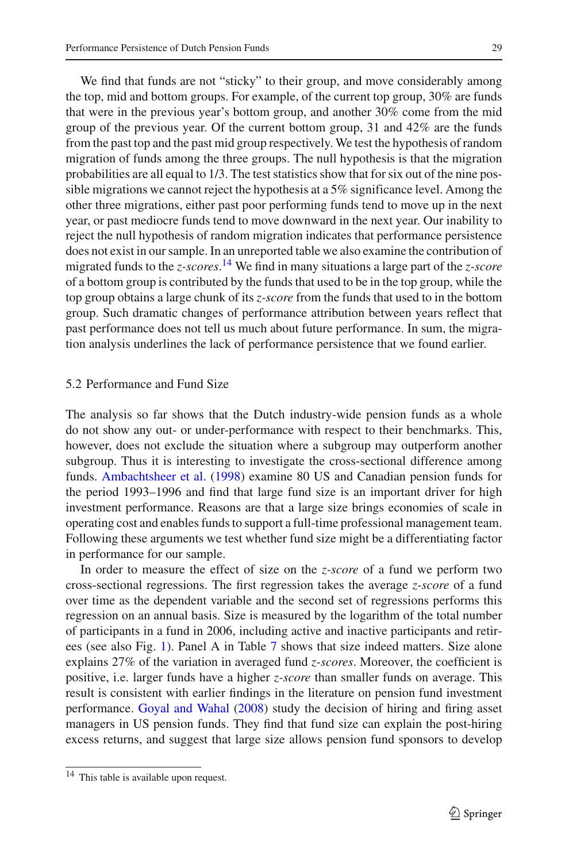We find that funds are not "sticky" to their group, and move considerably among the top, mid and bottom groups. For example, of the current top group, 30% are funds that were in the previous year's bottom group, and another 30% come from the mid group of the previous year. Of the current bottom group, 31 and 42% are the funds from the past top and the past mid group respectively. We test the hypothesis of random migration of funds among the three groups. The null hypothesis is that the migration probabilities are all equal to 1/3. The test statistics show that for six out of the nine possible migrations we cannot reject the hypothesis at a 5% significance level. Among the other three migrations, either past poor performing funds tend to move up in the next year, or past mediocre funds tend to move downward in the next year. Our inability to reject the null hypothesis of random migration indicates that performance persistence does not exist in our sample. In an unreported table we also examine the contribution of migrated funds to the *z-scores*. [14](#page-12-0) We find in many situations a large part of the *z-score* of a bottom group is contributed by the funds that used to be in the top group, while the top group obtains a large chunk of its *z-score* from the funds that used to in the bottom group. Such dramatic changes of performance attribution between years reflect that past performance does not tell us much about future performance. In sum, the migration analysis underlines the lack of performance persistence that we found earlier.

#### 5.2 Performance and Fund Size

The analysis so far shows that the Dutch industry-wide pension funds as a whole do not show any out- or under-performance with respect to their benchmarks. This, however, does not exclude the situation where a subgroup may outperform another subgroup. Thus it is interesting to investigate the cross-sectional difference among funds. [Ambachtsheer et al.](#page-16-17) [\(1998\)](#page-16-17) examine 80 US and Canadian pension funds for the period 1993–1996 and find that large fund size is an important driver for high investment performance. Reasons are that a large size brings economies of scale in operating cost and enables funds to support a full-time professional management team. Following these arguments we test whether fund size might be a differentiating factor in performance for our sample.

In order to measure the effect of size on the *z-score* of a fund we perform two cross-sectional regressions. The first regression takes the average *z-score* of a fund over time as the dependent variable and the second set of regressions performs this regression on an annual basis. Size is measured by the logarithm of the total number of participants in a fund in 2006, including active and inactive participants and retirees (see also Fig. [1\)](#page-8-1). Panel A in Table [7](#page-13-0) shows that size indeed matters. Size alone explains 27% of the variation in averaged fund *z-scores*. Moreover, the coefficient is positive, i.e. larger funds have a higher *z-score* than smaller funds on average. This result is consistent with earlier findings in the literature on pension fund investment performance. [Goyal and Wahal](#page-16-8) [\(2008\)](#page-16-8) study the decision of hiring and firing asset managers in US pension funds. They find that fund size can explain the post-hiring excess returns, and suggest that large size allows pension fund sponsors to develop

<span id="page-12-0"></span><sup>14</sup> This table is available upon request.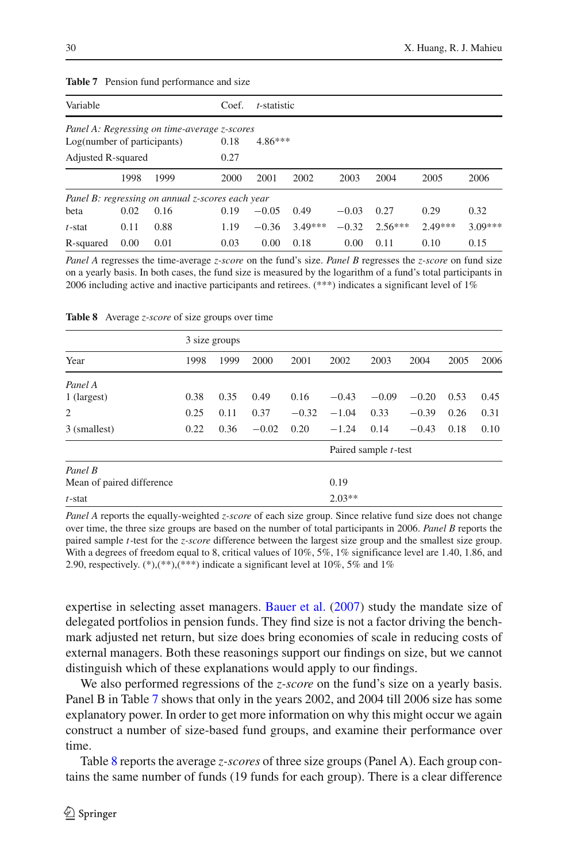| <b>Table 7</b> Pension fund performance and size                            |                             |
|-----------------------------------------------------------------------------|-----------------------------|
| Variable                                                                    | $Coef.$ <i>t</i> -statistic |
| Panel A: Regressing on time-average z-scores<br>Log(number of participants) | $0.18$ $4.86***$            |
|                                                                             |                             |

<span id="page-13-0"></span>

Adjusted R-squared 0.27 1998 1999 2000 2001 2002 2003 2004 2005 2006 *Panel B: regressing on annual z-scores each year* beta 0.02 0.16 0.19 −0.05 0.49 −0.03 0.27 0.29 0.32 *t*-stat 0.11 0.88 1.19 −0.36 3.49\*\*\* −0.32 2.56\*\*\* 2.49\*\*\* 3.09\*\*\* R-squared 0.00 0.01 0.03 0.00 0.18 0.00 0.11 0.10 0.15

*Panel A* regresses the time-average *z-score* on the fund's size. *Panel B* regresses the *z-score* on fund size on a yearly basis. In both cases, the fund size is measured by the logarithm of a fund's total participants in 2006 including active and inactive participants and retirees. (\*\*\*) indicates a significant level of 1%

<span id="page-13-1"></span>

|                           |      | 3 size groups |         |         |          |                              |         |      |      |
|---------------------------|------|---------------|---------|---------|----------|------------------------------|---------|------|------|
| Year                      | 1998 | 1999          | 2000    | 2001    | 2002     | 2003                         | 2004    | 2005 | 2006 |
| Panel A                   |      |               |         |         |          |                              |         |      |      |
| 1 (largest)               | 0.38 | 0.35          | 0.49    | 0.16    | $-0.43$  | $-0.09$                      | $-0.20$ | 0.53 | 0.45 |
| 2                         | 0.25 | 0.11          | 0.37    | $-0.32$ | $-1.04$  | 0.33                         | $-0.39$ | 0.26 | 0.31 |
| 3 (smallest)              | 0.22 | 0.36          | $-0.02$ | 0.20    | $-1.24$  | 0.14                         | $-0.43$ | 0.18 | 0.10 |
|                           |      |               |         |         |          | Paired sample <i>t</i> -test |         |      |      |
| Panel B                   |      |               |         |         |          |                              |         |      |      |
| Mean of paired difference |      |               |         |         | 0.19     |                              |         |      |      |
| $t$ -stat                 |      |               |         |         | $2.03**$ |                              |         |      |      |

**Table 8** Average *z-score* of size groups over time

*Panel A* reports the equally-weighted *z-score* of each size group. Since relative fund size does not change over time, the three size groups are based on the number of total participants in 2006. *Panel B* reports the paired sample *t*-test for the *z-score* difference between the largest size group and the smallest size group. With a degrees of freedom equal to 8, critical values of 10%, 5%, 1% significance level are 1.40, 1.86, and 2.90, respectively.  $(*),(**,(**)$  indicate a significant level at 10%, 5% and 1%

expertise in selecting asset managers. [Bauer et al.](#page-16-2) [\(2007](#page-16-2)) study the mandate size of delegated portfolios in pension funds. They find size is not a factor driving the benchmark adjusted net return, but size does bring economies of scale in reducing costs of external managers. Both these reasonings support our findings on size, but we cannot distinguish which of these explanations would apply to our findings.

We also performed regressions of the *z-score* on the fund's size on a yearly basis. Panel B in Table [7](#page-13-0) shows that only in the years 2002, and 2004 till 2006 size has some explanatory power. In order to get more information on why this might occur we again construct a number of size-based fund groups, and examine their performance over time.

Table [8](#page-13-1) reports the average *z-scores* of three size groups (Panel A). Each group contains the same number of funds (19 funds for each group). There is a clear difference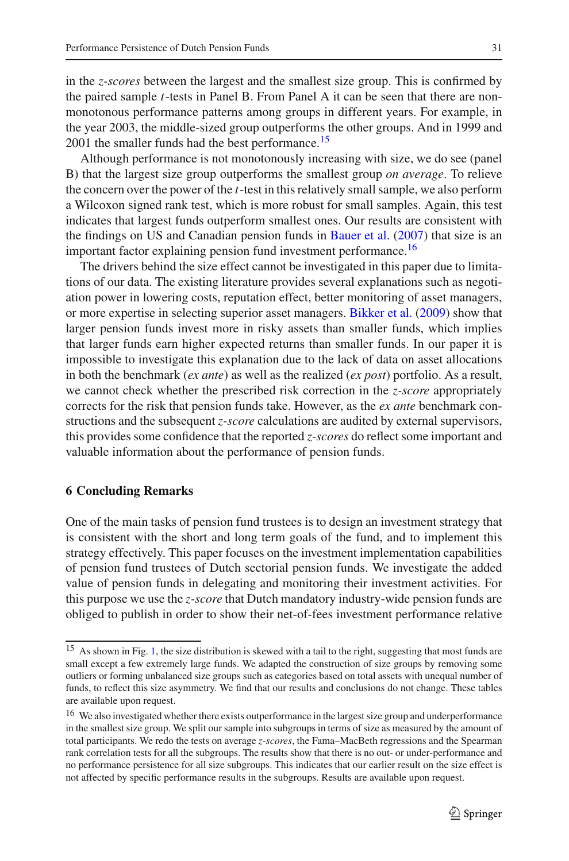in the *z-scores* between the largest and the smallest size group. This is confirmed by the paired sample *t*-tests in Panel B. From Panel A it can be seen that there are nonmonotonous performance patterns among groups in different years. For example, in the year 2003, the middle-sized group outperforms the other groups. And in 1999 and 2001 the smaller funds had the best performance.<sup>15</sup>

Although performance is not monotonously increasing with size, we do see (panel B) that the largest size group outperforms the smallest group *on average*. To relieve the concern over the power of the *t*-test in this relatively small sample, we also perform a Wilcoxon signed rank test, which is more robust for small samples. Again, this test indicates that largest funds outperform smallest ones. Our results are consistent with the findings on US and Canadian pension funds in [Bauer et al.](#page-16-2) [\(2007](#page-16-2)) that size is an important factor explaining pension fund investment performance.<sup>[16](#page-14-2)</sup>

The drivers behind the size effect cannot be investigated in this paper due to limitations of our data. The existing literature provides several explanations such as negotiation power in lowering costs, reputation effect, better monitoring of asset managers, or more expertise in selecting superior asset managers. [Bikker et al.](#page-16-18) [\(2009](#page-16-18)) show that larger pension funds invest more in risky assets than smaller funds, which implies that larger funds earn higher expected returns than smaller funds. In our paper it is impossible to investigate this explanation due to the lack of data on asset allocations in both the benchmark (*ex ante*) as well as the realized (*ex post*) portfolio. As a result, we cannot check whether the prescribed risk correction in the *z-score* appropriately corrects for the risk that pension funds take. However, as the *ex ante* benchmark constructions and the subsequent *z-score* calculations are audited by external supervisors, this provides some confidence that the reported *z-scores* do reflect some important and valuable information about the performance of pension funds.

# <span id="page-14-0"></span>**6 Concluding Remarks**

One of the main tasks of pension fund trustees is to design an investment strategy that is consistent with the short and long term goals of the fund, and to implement this strategy effectively. This paper focuses on the investment implementation capabilities of pension fund trustees of Dutch sectorial pension funds. We investigate the added value of pension funds in delegating and monitoring their investment activities. For this purpose we use the *z-score* that Dutch mandatory industry-wide pension funds are obliged to publish in order to show their net-of-fees investment performance relative

<span id="page-14-1"></span><sup>&</sup>lt;sup>15</sup> As shown in Fig. [1,](#page-8-1) the size distribution is skewed with a tail to the right, suggesting that most funds are small except a few extremely large funds. We adapted the construction of size groups by removing some outliers or forming unbalanced size groups such as categories based on total assets with unequal number of funds, to reflect this size asymmetry. We find that our results and conclusions do not change. These tables are available upon request.

<span id="page-14-2"></span><sup>&</sup>lt;sup>16</sup> We also investigated whether there exists outperformance in the largest size group and underperformance in the smallest size group. We split our sample into subgroups in terms of size as measured by the amount of total participants. We redo the tests on average *z-scores*, the Fama–MacBeth regressions and the Spearman rank correlation tests for all the subgroups. The results show that there is no out- or under-performance and no performance persistence for all size subgroups. This indicates that our earlier result on the size effect is not affected by specific performance results in the subgroups. Results are available upon request.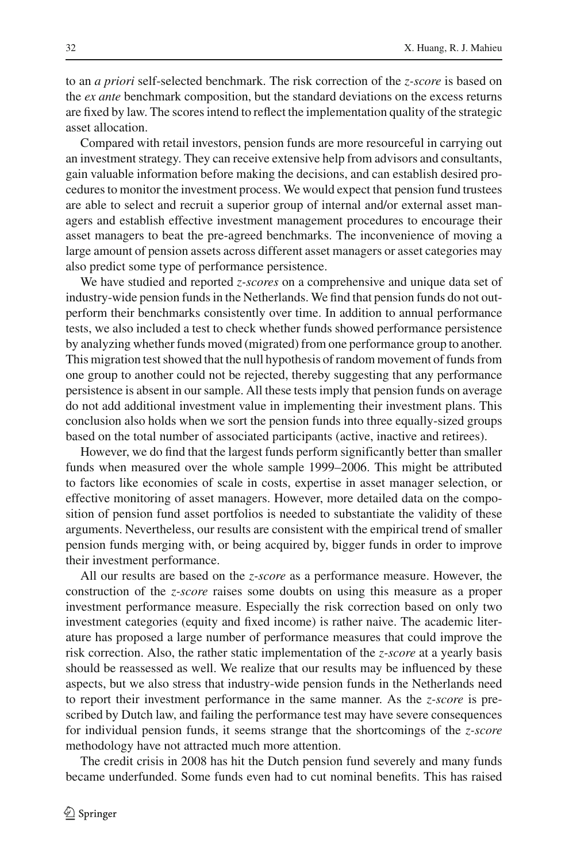to an *a priori* self-selected benchmark. The risk correction of the *z-score* is based on the *ex ante* benchmark composition, but the standard deviations on the excess returns are fixed by law. The scores intend to reflect the implementation quality of the strategic asset allocation.

Compared with retail investors, pension funds are more resourceful in carrying out an investment strategy. They can receive extensive help from advisors and consultants, gain valuable information before making the decisions, and can establish desired procedures to monitor the investment process. We would expect that pension fund trustees are able to select and recruit a superior group of internal and/or external asset managers and establish effective investment management procedures to encourage their asset managers to beat the pre-agreed benchmarks. The inconvenience of moving a large amount of pension assets across different asset managers or asset categories may also predict some type of performance persistence.

We have studied and reported *z-scores* on a comprehensive and unique data set of industry-wide pension funds in the Netherlands. We find that pension funds do not outperform their benchmarks consistently over time. In addition to annual performance tests, we also included a test to check whether funds showed performance persistence by analyzing whether funds moved (migrated) from one performance group to another. This migration test showed that the null hypothesis of random movement of funds from one group to another could not be rejected, thereby suggesting that any performance persistence is absent in our sample. All these tests imply that pension funds on average do not add additional investment value in implementing their investment plans. This conclusion also holds when we sort the pension funds into three equally-sized groups based on the total number of associated participants (active, inactive and retirees).

However, we do find that the largest funds perform significantly better than smaller funds when measured over the whole sample 1999–2006. This might be attributed to factors like economies of scale in costs, expertise in asset manager selection, or effective monitoring of asset managers. However, more detailed data on the composition of pension fund asset portfolios is needed to substantiate the validity of these arguments. Nevertheless, our results are consistent with the empirical trend of smaller pension funds merging with, or being acquired by, bigger funds in order to improve their investment performance.

All our results are based on the *z-score* as a performance measure. However, the construction of the *z-score* raises some doubts on using this measure as a proper investment performance measure. Especially the risk correction based on only two investment categories (equity and fixed income) is rather naive. The academic literature has proposed a large number of performance measures that could improve the risk correction. Also, the rather static implementation of the *z-score* at a yearly basis should be reassessed as well. We realize that our results may be influenced by these aspects, but we also stress that industry-wide pension funds in the Netherlands need to report their investment performance in the same manner. As the *z-score* is prescribed by Dutch law, and failing the performance test may have severe consequences for individual pension funds, it seems strange that the shortcomings of the *z-score* methodology have not attracted much more attention.

The credit crisis in 2008 has hit the Dutch pension fund severely and many funds became underfunded. Some funds even had to cut nominal benefits. This has raised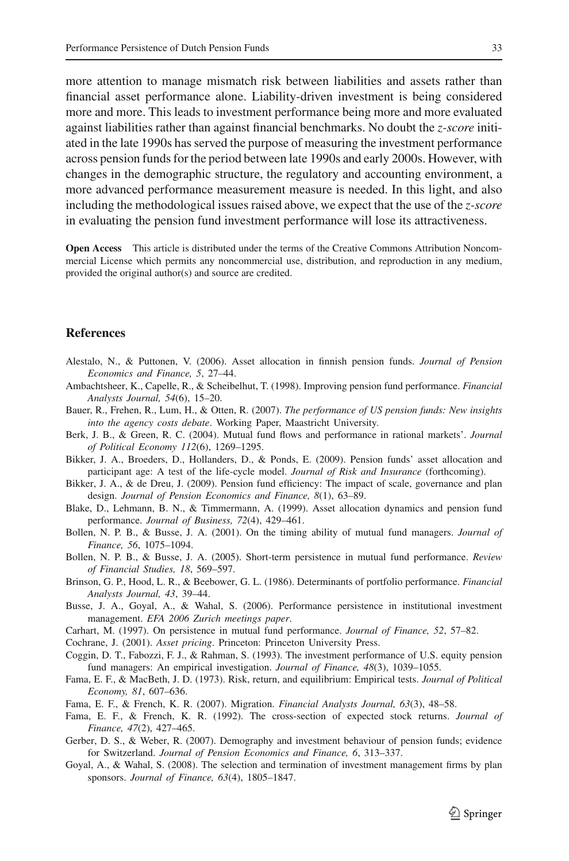more attention to manage mismatch risk between liabilities and assets rather than financial asset performance alone. Liability-driven investment is being considered more and more. This leads to investment performance being more and more evaluated against liabilities rather than against financial benchmarks. No doubt the *z-score* initiated in the late 1990s has served the purpose of measuring the investment performance across pension funds for the period between late 1990s and early 2000s. However, with changes in the demographic structure, the regulatory and accounting environment, a more advanced performance measurement measure is needed. In this light, and also including the methodological issues raised above, we expect that the use of the *z-score* in evaluating the pension fund investment performance will lose its attractiveness.

**Open Access** This article is distributed under the terms of the Creative Commons Attribution Noncommercial License which permits any noncommercial use, distribution, and reproduction in any medium, provided the original author(s) and source are credited.

#### **References**

- <span id="page-16-5"></span>Alestalo, N., & Puttonen, V. (2006). Asset allocation in finnish pension funds. *Journal of Pension Economics and Finance, 5*, 27–44.
- <span id="page-16-17"></span>Ambachtsheer, K., Capelle, R., & Scheibelhut, T. (1998). Improving pension fund performance. *Financial Analysts Journal, 54*(6), 15–20.
- <span id="page-16-2"></span>Bauer, R., Frehen, R., Lum, H., & Otten, R. (2007). *The performance of US pension funds: New insights into the agency costs debate*. Working Paper, Maastricht University.
- <span id="page-16-9"></span>Berk, J. B., & Green, R. C. (2004). Mutual fund flows and performance in rational markets'. *Journal of Political Economy 112*(6), 1269–1295.
- <span id="page-16-18"></span>Bikker, J. A., Broeders, D., Hollanders, D., & Ponds, E. (2009). Pension funds' asset allocation and participant age: A test of the life-cycle model. *Journal of Risk and Insurance* (forthcoming).
- <span id="page-16-7"></span>Bikker, J. A., & de Dreu, J. (2009). Pension fund efficiency: The impact of scale, governance and plan design. *Journal of Pension Economics and Finance, 8*(1), 63–89.
- <span id="page-16-4"></span>Blake, D., Lehmann, B. N., & Timmermann, A. (1999). Asset allocation dynamics and pension fund performance. *Journal of Business, 72*(4), 429–461.
- <span id="page-16-13"></span>Bollen, N. P. B., & Busse, J. A. (2001). On the timing ability of mutual fund managers. *Journal of Finance, 56*, 1075–1094.
- <span id="page-16-14"></span>Bollen, N. P. B., & Busse, J. A. (2005). Short-term persistence in mutual fund performance. *Review of Financial Studies, 18*, 569–597.
- <span id="page-16-3"></span>Brinson, G. P., Hood, L. R., & Beebower, G. L. (1986). Determinants of portfolio performance. *Financial Analysts Journal, 43*, 39–44.
- <span id="page-16-1"></span>Busse, J. A., Goyal, A., & Wahal, S. (2006). Performance persistence in institutional investment management. *EFA 2006 Zurich meetings paper*.
- <span id="page-16-12"></span>Carhart, M. (1997). On persistence in mutual fund performance. *Journal of Finance, 52*, 57–82.
- <span id="page-16-11"></span>Cochrane, J. (2001). *Asset pricing*. Princeton: Princeton University Press.
- <span id="page-16-0"></span>Coggin, D. T., Fabozzi, F. J., & Rahman, S. (1993). The investment performance of U.S. equity pension fund managers: An empirical investigation. *Journal of Finance, 48*(3), 1039–1055.
- <span id="page-16-10"></span>Fama, E. F., & MacBeth, J. D. (1973). Risk, return, and equilibrium: Empirical tests. *Journal of Political Economy, 81*, 607–636.
- <span id="page-16-16"></span>Fama, E. F., & French, K. R. (2007). Migration. *Financial Analysts Journal, 63*(3), 48–58.
- <span id="page-16-15"></span>Fama, E. F., & French, K. R. (1992). The cross-section of expected stock returns. *Journal of Finance, 47*(2), 427–465.
- <span id="page-16-6"></span>Gerber, D. S., & Weber, R. (2007). Demography and investment behaviour of pension funds; evidence for Switzerland. *Journal of Pension Economics and Finance, 6*, 313–337.
- <span id="page-16-8"></span>Goyal, A., & Wahal, S. (2008). The selection and termination of investment management firms by plan sponsors. *Journal of Finance, 63*(4), 1805–1847.